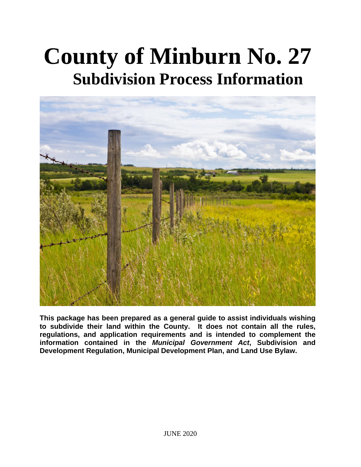# **County of Minburn No. 27 Subdivision Process Information**



**This package has been prepared as a general guide to assist individuals wishing to subdivide their land within the County. It does not contain all the rules, regulations, and application requirements and is intended to complement the information contained in the** *Municipal Government Act***, Subdivision and Development Regulation, Municipal Development Plan, and Land Use Bylaw.**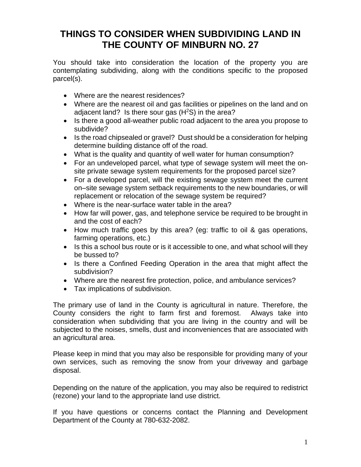## **THINGS TO CONSIDER WHEN SUBDIVIDING LAND IN THE COUNTY OF MINBURN NO. 27**

You should take into consideration the location of the property you are contemplating subdividing, along with the conditions specific to the proposed parcel(s).

- Where are the nearest residences?
- Where are the nearest oil and gas facilities or pipelines on the land and on adjacent land? Is there sour gas (H<sup>2</sup>S) in the area?
- Is there a good all-weather public road adjacent to the area you propose to subdivide?
- Is the road chipsealed or gravel? Dust should be a consideration for helping determine building distance off of the road.
- What is the quality and quantity of well water for human consumption?
- For an undeveloped parcel, what type of sewage system will meet the onsite private sewage system requirements for the proposed parcel size?
- For a developed parcel, will the existing sewage system meet the current on–site sewage system setback requirements to the new boundaries, or will replacement or relocation of the sewage system be required?
- Where is the near-surface water table in the area?
- How far will power, gas, and telephone service be required to be brought in and the cost of each?
- How much traffic goes by this area? (eg: traffic to oil & gas operations, farming operations, etc.)
- Is this a school bus route or is it accessible to one, and what school will they be bussed to?
- Is there a Confined Feeding Operation in the area that might affect the subdivision?
- Where are the nearest fire protection, police, and ambulance services?
- Tax implications of subdivision.

The primary use of land in the County is agricultural in nature. Therefore, the County considers the right to farm first and foremost. Always take into consideration when subdividing that you are living in the country and will be subjected to the noises, smells, dust and inconveniences that are associated with an agricultural area.

Please keep in mind that you may also be responsible for providing many of your own services, such as removing the snow from your driveway and garbage disposal.

Depending on the nature of the application, you may also be required to redistrict (rezone) your land to the appropriate land use district.

If you have questions or concerns contact the Planning and Development Department of the County at 780-632-2082.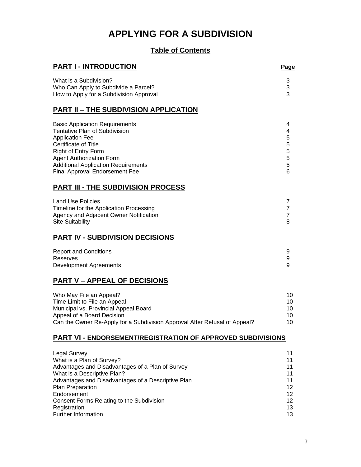# **APPLYING FOR A SUBDIVISION**

### **Table of Contents**

| <b>PART I - INTRODUCTION</b>                                               | <b>Page</b>    |
|----------------------------------------------------------------------------|----------------|
| What is a Subdivision?                                                     | 3              |
| Who Can Apply to Subdivide a Parcel?                                       | 3              |
| How to Apply for a Subdivision Approval                                    | 3              |
| <b>PART II - THE SUBDIVISION APPLICATION</b>                               |                |
| <b>Basic Application Requirements</b>                                      | 4              |
| <b>Tentative Plan of Subdivision</b>                                       | 4              |
| <b>Application Fee</b>                                                     | 5              |
| Certificate of Title                                                       | 5              |
| Right of Entry Form                                                        | 5              |
| <b>Agent Authorization Form</b>                                            | 5              |
| <b>Additional Application Requirements</b>                                 | 5              |
| <b>Final Approval Endorsement Fee</b>                                      | 6              |
| <b>PART III - THE SUBDIVISION PROCESS</b>                                  |                |
| <b>Land Use Policies</b>                                                   | $\overline{7}$ |
| Timeline for the Application Processing                                    | $\overline{7}$ |
| Agency and Adjacent Owner Notification                                     | $\overline{7}$ |
| <b>Site Suitability</b>                                                    | 8              |
| <b>PART IV - SUBDIVISION DECISIONS</b>                                     |                |
| <b>Report and Conditions</b>                                               | 9              |
| Reserves                                                                   | 9              |
| <b>Development Agreements</b>                                              | 9              |
| <b>PART V - APPEAL OF DECISIONS</b>                                        |                |
| Who May File an Appeal?                                                    | 10             |
| Time Limit to File an Appeal                                               | 10             |
| Municipal vs. Provincial Appeal Board                                      | 10             |
| Appeal of a Board Decision                                                 | 10             |
| Can the Owner Re-Apply for a Subdivision Approval After Refusal of Appeal? | 10             |
| <b>PART VI - ENDORSEMENT/REGISTRATION OF APPROVED SUBDIVISIONS</b>         |                |
| <b>Legal Survey</b>                                                        | 11             |
| What is a Plan of Survey?                                                  | 11             |
| Advantages and Disadvantages of a Plan of Survey                           | 11             |
| What is a Descriptive Plan?                                                | 11             |
| Advantages and Disadvantages of a Descriptive Plan                         | 11             |
| Plan Preparation                                                           | 12             |
| Endorsement                                                                | 12             |
| Consent Forms Relating to the Subdivision                                  | 12             |
| Registration                                                               | 13             |
| Further Information                                                        | 13             |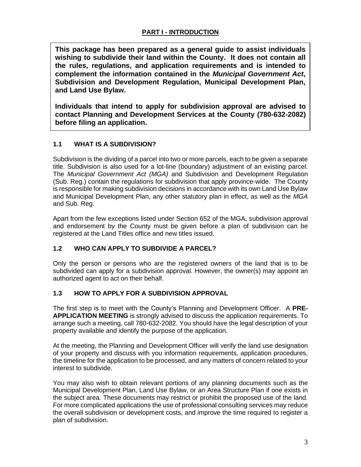**This package has been prepared as a general guide to assist individuals wishing to subdivide their land within the County. It does not contain all the rules, regulations, and application requirements and is intended to complement the information contained in the** *Municipal Government Act***, Subdivision and Development Regulation, Municipal Development Plan, and Land Use Bylaw.**

**Individuals that intend to apply for subdivision approval are advised to contact Planning and Development Services at the County (780-632-2082) before filing an application.**

#### **1.1 WHAT IS A SUBDIVISION?**

Subdivision is the dividing of a parcel into two or more parcels, each to be given a separate title. Subdivision is also used for a lot-line (boundary) adjustment of an existing parcel. The *Municipal Government Act (MGA)* and Subdivision and Development Regulation (Sub. Reg.) contain the regulations for subdivision that apply province-wide. The County is responsible for making subdivision decisions in accordance with its own Land Use Bylaw and Municipal Development Plan, any other statutory plan in effect, as well as the *MGA*  and Sub. Reg.

Apart from the few exceptions listed under Section 652 of the MGA, subdivision approval and endorsement by the County must be given before a plan of subdivision can be registered at the Land Titles office and new titles issued.

#### **1.2 WHO CAN APPLY TO SUBDIVIDE A PARCEL?**

Only the person or persons who are the registered owners of the land that is to be subdivided can apply for a subdivision approval. However, the owner(s) may appoint an authorized agent to act on their behalf.

#### **1.3 HOW TO APPLY FOR A SUBDIVISION APPROVAL**

The first step is to meet with the County's Planning and Development Officer. A **PRE-APPLICATION MEETING** is strongly advised to discuss the application requirements. To arrange such a meeting, call 780-632-2082. You should have the legal description of your property available and identify the purpose of the application.

At the meeting, the Planning and Development Officer will verify the land use designation of your property and discuss with you information requirements, application procedures, the timeline for the application to be processed, and any matters of concern related to your interest to subdivide.

You may also wish to obtain relevant portions of any planning documents such as the Municipal Development Plan, Land Use Bylaw, or an Area Structure Plan if one exists in the subject area*.* These documents may restrict or prohibit the proposed use of the land. For more complicated applications the use of professional consulting services may reduce the overall subdivision or development costs, and improve the time required to register a plan of subdivision.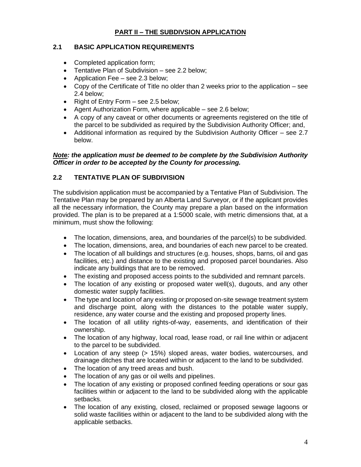#### **PART II – THE SUBDIVSION APPLICATION**

#### **2.1 BASIC APPLICATION REQUIREMENTS**

- Completed application form;
- Tentative Plan of Subdivision see 2.2 below;
- Application Fee see 2.3 below;
- Copy of the Certificate of Title no older than 2 weeks prior to the application see 2.4 below;
- Right of Entry Form see 2.5 below;
- Agent Authorization Form, where applicable see 2.6 below;
- A copy of any caveat or other documents or agreements registered on the title of the parcel to be subdivided as required by the Subdivision Authority Officer; and,
- Additional information as required by the Subdivision Authority Officer see 2.7 below.

#### *Note: the application must be deemed to be complete by the Subdivision Authority Officer in order to be accepted by the County for processing.*

#### **2.2 TENTATIVE PLAN OF SUBDIVISION**

The subdivision application must be accompanied by a Tentative Plan of Subdivision. The Tentative Plan may be prepared by an Alberta Land Surveyor, or if the applicant provides all the necessary information, the County may prepare a plan based on the information provided. The plan is to be prepared at a 1:5000 scale, with metric dimensions that, at a minimum, must show the following:

- The location, dimensions, area, and boundaries of the parcel(s) to be subdivided.
- The location, dimensions, area, and boundaries of each new parcel to be created.
- The location of all buildings and structures (e.g. houses, shops, barns, oil and gas facilities, etc.) and distance to the existing and proposed parcel boundaries. Also indicate any buildings that are to be removed.
- The existing and proposed access points to the subdivided and remnant parcels.
- The location of any existing or proposed water well(s), dugouts, and any other domestic water supply facilities.
- The type and location of any existing or proposed on-site sewage treatment system and discharge point, along with the distances to the potable water supply, residence, any water course and the existing and proposed property lines.
- The location of all utility rights-of-way, easements, and identification of their ownership.
- The location of any highway, local road, lease road, or rail line within or adjacent to the parcel to be subdivided.
- Location of any steep (> 15%) sloped areas, water bodies, watercourses, and drainage ditches that are located within or adjacent to the land to be subdivided.
- The location of any treed areas and bush.
- The location of any gas or oil wells and pipelines.
- The location of any existing or proposed confined feeding operations or sour gas facilities within or adjacent to the land to be subdivided along with the applicable setbacks.
- The location of any existing, closed, reclaimed or proposed sewage lagoons or solid waste facilities within or adjacent to the land to be subdivided along with the applicable setbacks.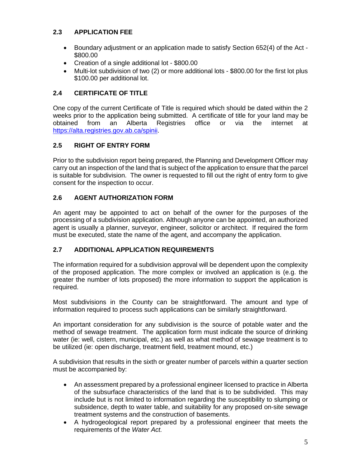#### **2.3 APPLICATION FEE**

- Boundary adjustment or an application made to satisfy Section 652(4) of the Act \$800.00
- Creation of a single additional lot \$800.00
- Multi-lot subdivision of two (2) or more additional lots \$800.00 for the first lot plus \$100.00 per additional lot.

#### **2.4 CERTIFICATE OF TITLE**

One copy of the current Certificate of Title is required which should be dated within the 2 weeks prior to the application being submitted. A certificate of title for your land may be obtained from an Alberta Registries office or via the internet at [https://alta.registries.gov.ab.ca/spinii.](https://alta.registries.gov.ab.ca/spinii)

#### **2.5 RIGHT OF ENTRY FORM**

Prior to the subdivision report being prepared, the Planning and Development Officer may carry out an inspection of the land that is subject of the application to ensure that the parcel is suitable for subdivision. The owner is requested to fill out the right of entry form to give consent for the inspection to occur.

#### **2.6 AGENT AUTHORIZATION FORM**

An agent may be appointed to act on behalf of the owner for the purposes of the processing of a subdivision application. Although anyone can be appointed, an authorized agent is usually a planner, surveyor, engineer, solicitor or architect. If required the form must be executed, state the name of the agent, and accompany the application.

#### **2.7 ADDITIONAL APPLICATION REQUIREMENTS**

The information required for a subdivision approval will be dependent upon the complexity of the proposed application. The more complex or involved an application is (e.g. the greater the number of lots proposed) the more information to support the application is required.

Most subdivisions in the County can be straightforward. The amount and type of information required to process such applications can be similarly straightforward.

An important consideration for any subdivision is the source of potable water and the method of sewage treatment. The application form must indicate the source of drinking water (ie: well, cistern, municipal, etc.) as well as what method of sewage treatment is to be utilized (ie: open discharge, treatment field, treatment mound, etc.)

A subdivision that results in the sixth or greater number of parcels within a quarter section must be accompanied by:

- An assessment prepared by a professional engineer licensed to practice in Alberta of the subsurface characteristics of the land that is to be subdivided. This may include but is not limited to information regarding the susceptibility to slumping or subsidence, depth to water table, and suitability for any proposed on-site sewage treatment systems and the construction of basements.
- A hydrogeological report prepared by a professional engineer that meets the requirements of the *Water Act.*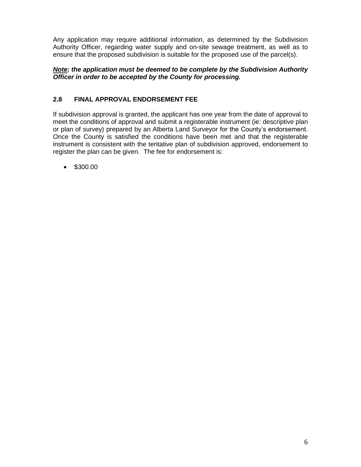Any application may require additional information, as determined by the Subdivision Authority Officer, regarding water supply and on-site sewage treatment, as well as to ensure that the proposed subdivision is suitable for the proposed use of the parcel(s).

#### *Note: the application must be deemed to be complete by the Subdivision Authority Officer in order to be accepted by the County for processing.*

#### **2.8 FINAL APPROVAL ENDORSEMENT FEE**

If subdivision approval is granted, the applicant has one year from the date of approval to meet the conditions of approval and submit a registerable instrument (ie: descriptive plan or plan of survey) prepared by an Alberta Land Surveyor for the County's endorsement. Once the County is satisfied the conditions have been met and that the registerable instrument is consistent with the tentative plan of subdivision approved, endorsement to register the plan can be given. The fee for endorsement is:

• \$300.00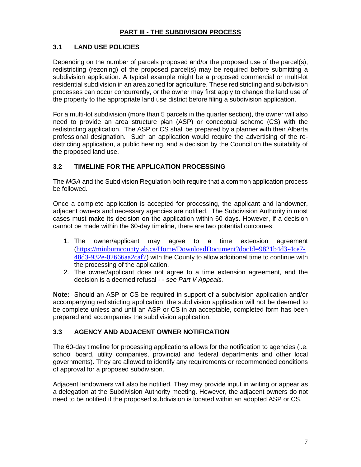#### **PART III - THE SUBDIVISION PROCESS**

#### **3.1 LAND USE POLICIES**

Depending on the number of parcels proposed and/or the proposed use of the parcel(s), redistricting (rezoning) of the proposed parcel(s) may be required before submitting a subdivision application. A typical example might be a proposed commercial or multi-lot residential subdivision in an area zoned for agriculture. These redistricting and subdivision processes can occur concurrently, or the owner may first apply to change the land use of the property to the appropriate land use district before filing a subdivision application.

For a multi-lot subdivision (more than 5 parcels in the quarter section), the owner will also need to provide an area structure plan (ASP) or conceptual scheme (CS) with the redistricting application. The ASP or CS shall be prepared by a planner with their Alberta professional designation. Such an application would require the advertising of the redistricting application, a public hearing, and a decision by the Council on the suitability of the proposed land use.

#### **3.2 TIMELINE FOR THE APPLICATION PROCESSING**

The *MGA* and the Subdivision Regulation both require that a common application process be followed.

Once a complete application is accepted for processing, the applicant and landowner, adjacent owners and necessary agencies are notified. The Subdivision Authority in most cases must make its decision on the application within 60 days. However, if a decision cannot be made within the 60-day timeline, there are two potential outcomes:

- 1. The owner/applicant may agree to a time extension agreement ([https://minburncounty.ab.ca/Home/DownloadDocument?docId=9821b4d3-4ce7-](https://minburncounty.ab.ca/Home/DownloadDocument?docId=9821b4d3-4ce7-48d3-932e-02666aa2caf7) [48d3-932e-02666aa2caf7](https://minburncounty.ab.ca/Home/DownloadDocument?docId=9821b4d3-4ce7-48d3-932e-02666aa2caf7)) with the County to allow additional time to continue with the processing of the application.
- 2. The owner/applicant does not agree to a time extension agreement, and the decision is a deemed refusal - - *see Part V Appeals.*

**Note:** Should an ASP or CS be required in support of a subdivision application and/or accompanying redistricting application, the subdivision application will not be deemed to be complete unless and until an ASP or CS in an acceptable, completed form has been prepared and accompanies the subdivision application.

#### **3.3 AGENCY AND ADJACENT OWNER NOTIFICATION**

The 60-day timeline for processing applications allows for the notification to agencies (i.e. school board, utility companies, provincial and federal departments and other local governments). They are allowed to identify any requirements or recommended conditions of approval for a proposed subdivision.

Adjacent landowners will also be notified. They may provide input in writing or appear as a delegation at the Subdivision Authority meeting. However, the adjacent owners do not need to be notified if the proposed subdivision is located within an adopted ASP or CS.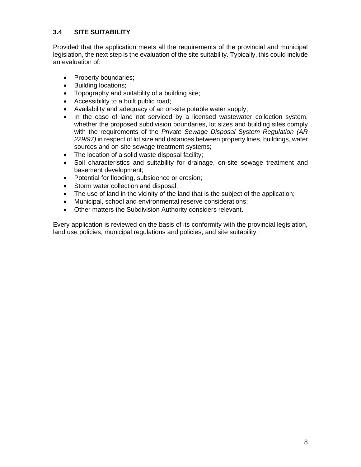#### **3.4 SITE SUITABILITY**

Provided that the application meets all the requirements of the provincial and municipal legislation, the next step is the evaluation of the site suitability. Typically, this could include an evaluation of:

- Property boundaries;
- Building locations;
- Topography and suitability of a building site;
- Accessibility to a built public road;
- Availability and adequacy of an on-site potable water supply;
- In the case of land not serviced by a licensed wastewater collection system, whether the proposed subdivision boundaries, lot sizes and building sites comply with the requirements of the *Private Sewage Disposal System Regulation (AR 229/97)* in respect of lot size and distances between property lines, buildings, water sources and on-site sewage treatment systems;
- The location of a solid waste disposal facility;
- Soil characteristics and suitability for drainage, on-site sewage treatment and basement development;
- Potential for flooding, subsidence or erosion;
- Storm water collection and disposal;
- The use of land in the vicinity of the land that is the subject of the application;
- Municipal, school and environmental reserve considerations;
- Other matters the Subdivision Authority considers relevant.

Every application is reviewed on the basis of its conformity with the provincial legislation, land use policies, municipal regulations and policies, and site suitability.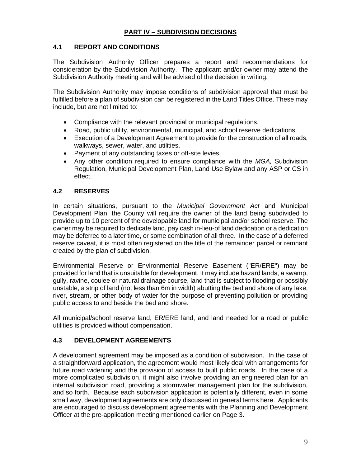#### **PART IV – SUBDIVISION DECISIONS**

#### **4.1 REPORT AND CONDITIONS**

The Subdivision Authority Officer prepares a report and recommendations for consideration by the Subdivision Authority. The applicant and/or owner may attend the Subdivision Authority meeting and will be advised of the decision in writing.

The Subdivision Authority may impose conditions of subdivision approval that must be fulfilled before a plan of subdivision can be registered in the Land Titles Office. These may include, but are not limited to:

- Compliance with the relevant provincial or municipal regulations.
- Road, public utility, environmental, municipal, and school reserve dedications.
- Execution of a Development Agreement to provide for the construction of all roads, walkways, sewer, water, and utilities.
- Payment of any outstanding taxes or off-site levies.
- Any other condition required to ensure compliance with the *MGA,* Subdivision Regulation, Municipal Development Plan, Land Use Bylaw and any ASP or CS in effect.

#### **4.2 RESERVES**

In certain situations, pursuant to the *Municipal Government Act* and Municipal Development Plan, the County will require the owner of the land being subdivided to provide up to 10 percent of the developable land for municipal and/or school reserve. The owner may be required to dedicate land, pay cash in-lieu-of land dedication or a dedication may be deferred to a later time, or some combination of all three. In the case of a deferred reserve caveat, it is most often registered on the title of the remainder parcel or remnant created by the plan of subdivision.

Environmental Reserve or Environmental Reserve Easement ("ER/ERE") may be provided for land that is unsuitable for development. It may include hazard lands, a swamp, gully, ravine, coulee or natural drainage course, land that is subject to flooding or possibly unstable, a strip of land (not less than 6m in width) abutting the bed and shore of any lake, river, stream, or other body of water for the purpose of preventing pollution or providing public access to and beside the bed and shore.

All municipal/school reserve land, ER/ERE land, and land needed for a road or public utilities is provided without compensation.

#### **4.3 DEVELOPMENT AGREEMENTS**

A development agreement may be imposed as a condition of subdivision. In the case of a straightforward application, the agreement would most likely deal with arrangements for future road widening and the provision of access to built public roads. In the case of a more complicated subdivision, it might also involve providing an engineered plan for an internal subdivision road, providing a stormwater management plan for the subdivision, and so forth. Because each subdivision application is potentially different, even in some small way, development agreements are only discussed in general terms here. Applicants are encouraged to discuss development agreements with the Planning and Development Officer at the pre-application meeting mentioned earlier on Page 3.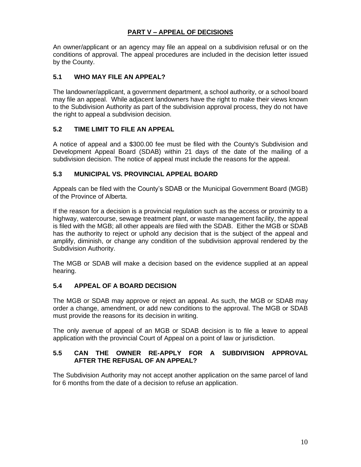#### **PART V – APPEAL OF DECISIONS**

An owner/applicant or an agency may file an appeal on a subdivision refusal or on the conditions of approval. The appeal procedures are included in the decision letter issued by the County.

#### **5.1 WHO MAY FILE AN APPEAL?**

The landowner/applicant, a government department, a school authority, or a school board may file an appeal. While adjacent landowners have the right to make their views known to the Subdivision Authority as part of the subdivision approval process, they do not have the right to appeal a subdivision decision.

#### **5.2 TIME LIMIT TO FILE AN APPEAL**

A notice of appeal and a \$300.00 fee must be filed with the County's Subdivision and Development Appeal Board (SDAB) within 21 days of the date of the mailing of a subdivision decision. The notice of appeal must include the reasons for the appeal.

#### **5.3 MUNICIPAL VS. PROVINCIAL APPEAL BOARD**

Appeals can be filed with the County's SDAB or the Municipal Government Board (MGB) of the Province of Alberta.

If the reason for a decision is a provincial regulation such as the access or proximity to a highway, watercourse, sewage treatment plant, or waste management facility, the appeal is filed with the MGB; all other appeals are filed with the SDAB. Either the MGB or SDAB has the authority to reject or uphold any decision that is the subject of the appeal and amplify, diminish, or change any condition of the subdivision approval rendered by the Subdivision Authority.

The MGB or SDAB will make a decision based on the evidence supplied at an appeal hearing.

#### **5.4 APPEAL OF A BOARD DECISION**

The MGB or SDAB may approve or reject an appeal. As such, the MGB or SDAB may order a change, amendment, or add new conditions to the approval. The MGB or SDAB must provide the reasons for its decision in writing.

The only avenue of appeal of an MGB or SDAB decision is to file a leave to appeal application with the provincial Court of Appeal on a point of law or jurisdiction.

#### **5.5 CAN THE OWNER RE-APPLY FOR A SUBDIVISION APPROVAL AFTER THE REFUSAL OF AN APPEAL?**

The Subdivision Authority may not accept another application on the same parcel of land for 6 months from the date of a decision to refuse an application.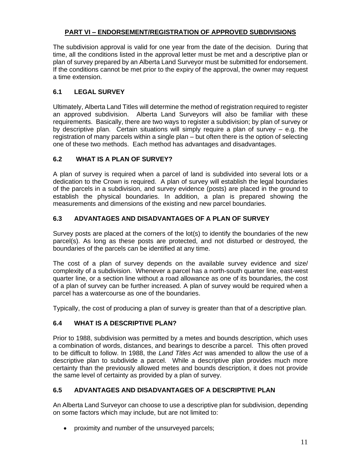#### **PART VI – ENDORSEMENT/REGISTRATION OF APPROVED SUBDIVISIONS**

The subdivision approval is valid for one year from the date of the decision. During that time, all the conditions listed in the approval letter must be met and a descriptive plan or plan of survey prepared by an Alberta Land Surveyor must be submitted for endorsement. If the conditions cannot be met prior to the expiry of the approval, the owner may request a time extension.

#### **6.1 LEGAL SURVEY**

Ultimately, Alberta Land Titles will determine the method of registration required to register an approved subdivision. Alberta Land Surveyors will also be familiar with these requirements. Basically, there are two ways to register a subdivision; by plan of survey or by descriptive plan. Certain situations will simply require a plan of survey – e.g. the registration of many parcels within a single plan – but often there is the option of selecting one of these two methods. Each method has advantages and disadvantages.

#### **6.2 WHAT IS A PLAN OF SURVEY?**

A plan of survey is required when a parcel of land is subdivided into several lots or a dedication to the Crown is required. A plan of survey will establish the legal boundaries of the parcels in a subdivision, and survey evidence (posts) are placed in the ground to establish the physical boundaries. In addition, a plan is prepared showing the measurements and dimensions of the existing and new parcel boundaries.

#### **6.3 ADVANTAGES AND DISADVANTAGES OF A PLAN OF SURVEY**

Survey posts are placed at the corners of the lot(s) to identify the boundaries of the new parcel(s). As long as these posts are protected, and not disturbed or destroyed, the boundaries of the parcels can be identified at any time.

The cost of a plan of survey depends on the available survey evidence and size/ complexity of a subdivision. Whenever a parcel has a north-south quarter line, east-west quarter line, or a section line without a road allowance as one of its boundaries, the cost of a plan of survey can be further increased. A plan of survey would be required when a parcel has a watercourse as one of the boundaries.

Typically, the cost of producing a plan of survey is greater than that of a descriptive plan.

#### **6.4 WHAT IS A DESCRIPTIVE PLAN?**

Prior to 1988, subdivision was permitted by a metes and bounds description, which uses a combination of words, distances, and bearings to describe a parcel. This often proved to be difficult to follow. In 1988, the *Land Titles Act* was amended to allow the use of a descriptive plan to subdivide a parcel. While a descriptive plan provides much more certainty than the previously allowed metes and bounds description, it does not provide the same level of certainty as provided by a plan of survey.

#### **6.5 ADVANTAGES AND DISADVANTAGES OF A DESCRIPTIVE PLAN**

An Alberta Land Surveyor can choose to use a descriptive plan for subdivision, depending on some factors which may include, but are not limited to:

• proximity and number of the unsurveyed parcels;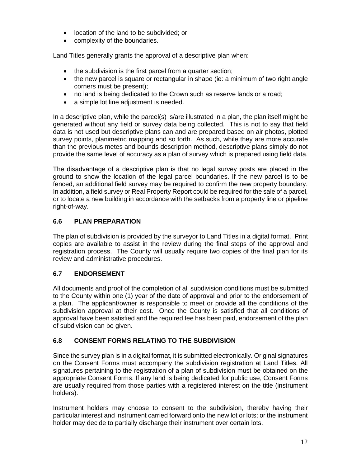- location of the land to be subdivided; or
- complexity of the boundaries.

Land Titles generally grants the approval of a descriptive plan when:

- the subdivision is the first parcel from a quarter section;
- the new parcel is square or rectangular in shape (ie: a minimum of two right angle corners must be present);
- no land is being dedicated to the Crown such as reserve lands or a road;
- a simple lot line adjustment is needed.

In a descriptive plan, while the parcel(s) is/are illustrated in a plan, the plan itself might be generated without any field or survey data being collected. This is not to say that field data is not used but descriptive plans can and are prepared based on air photos, plotted survey points, planimetric mapping and so forth. As such, while they are more accurate than the previous metes and bounds description method, descriptive plans simply do not provide the same level of accuracy as a plan of survey which is prepared using field data.

The disadvantage of a descriptive plan is that no legal survey posts are placed in the ground to show the location of the legal parcel boundaries. If the new parcel is to be fenced, an additional field survey may be required to confirm the new property boundary. In addition, a field survey or Real Property Report could be required for the sale of a parcel, or to locate a new building in accordance with the setbacks from a property line or pipeline right-of-way.

#### **6.6 PLAN PREPARATION**

The plan of subdivision is provided by the surveyor to Land Titles in a digital format. Print copies are available to assist in the review during the final steps of the approval and registration process. The County will usually require two copies of the final plan for its review and administrative procedures.

#### **6.7 ENDORSEMENT**

All documents and proof of the completion of all subdivision conditions must be submitted to the County within one (1) year of the date of approval and prior to the endorsement of a plan. The applicant/owner is responsible to meet or provide all the conditions of the subdivision approval at their cost. Once the County is satisfied that all conditions of approval have been satisfied and the required fee has been paid, endorsement of the plan of subdivision can be given.

#### **6.8 CONSENT FORMS RELATING TO THE SUBDIVISION**

Since the survey plan is in a digital format, it is submitted electronically. Original signatures on the Consent Forms must accompany the subdivision registration at Land Titles. All signatures pertaining to the registration of a plan of subdivision must be obtained on the appropriate Consent Forms. If any land is being dedicated for public use, Consent Forms are usually required from those parties with a registered interest on the title (instrument holders).

Instrument holders may choose to consent to the subdivision, thereby having their particular interest and instrument carried forward onto the new lot or lots; or the instrument holder may decide to partially discharge their instrument over certain lots.